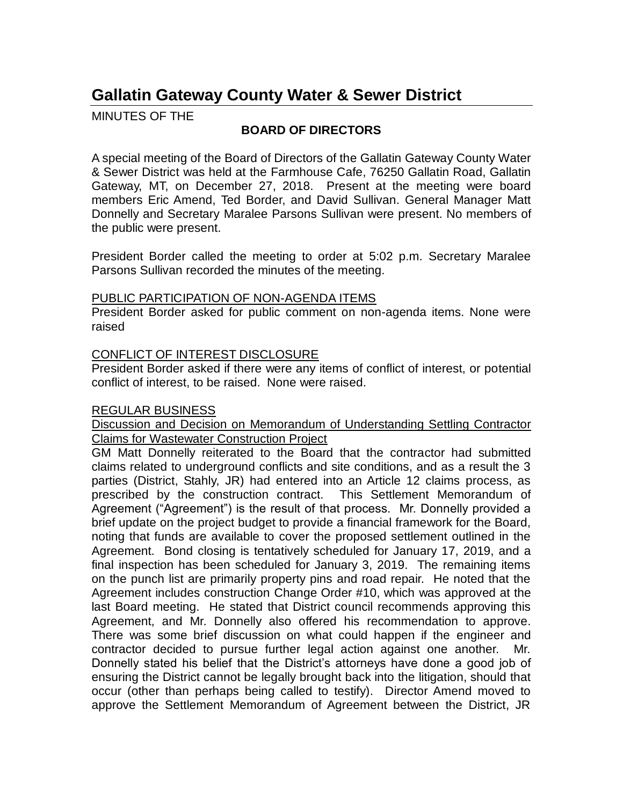# **Gallatin Gateway County Water & Sewer District**

MINUTES OF THE

# **BOARD OF DIRECTORS**

A special meeting of the Board of Directors of the Gallatin Gateway County Water & Sewer District was held at the Farmhouse Cafe, 76250 Gallatin Road, Gallatin Gateway, MT, on December 27, 2018. Present at the meeting were board members Eric Amend, Ted Border, and David Sullivan. General Manager Matt Donnelly and Secretary Maralee Parsons Sullivan were present. No members of the public were present.

President Border called the meeting to order at 5:02 p.m. Secretary Maralee Parsons Sullivan recorded the minutes of the meeting.

#### PUBLIC PARTICIPATION OF NON-AGENDA ITEMS

President Border asked for public comment on non-agenda items. None were raised

# CONFLICT OF INTEREST DISCLOSURE

President Border asked if there were any items of conflict of interest, or potential conflict of interest, to be raised. None were raised.

# REGULAR BUSINESS

Discussion and Decision on Memorandum of Understanding Settling Contractor Claims for Wastewater Construction Project

GM Matt Donnelly reiterated to the Board that the contractor had submitted claims related to underground conflicts and site conditions, and as a result the 3 parties (District, Stahly, JR) had entered into an Article 12 claims process, as prescribed by the construction contract. This Settlement Memorandum of Agreement ("Agreement") is the result of that process. Mr. Donnelly provided a brief update on the project budget to provide a financial framework for the Board, noting that funds are available to cover the proposed settlement outlined in the Agreement. Bond closing is tentatively scheduled for January 17, 2019, and a final inspection has been scheduled for January 3, 2019. The remaining items on the punch list are primarily property pins and road repair. He noted that the Agreement includes construction Change Order #10, which was approved at the last Board meeting. He stated that District council recommends approving this Agreement, and Mr. Donnelly also offered his recommendation to approve. There was some brief discussion on what could happen if the engineer and contractor decided to pursue further legal action against one another. Mr. Donnelly stated his belief that the District's attorneys have done a good job of ensuring the District cannot be legally brought back into the litigation, should that occur (other than perhaps being called to testify). Director Amend moved to approve the Settlement Memorandum of Agreement between the District, JR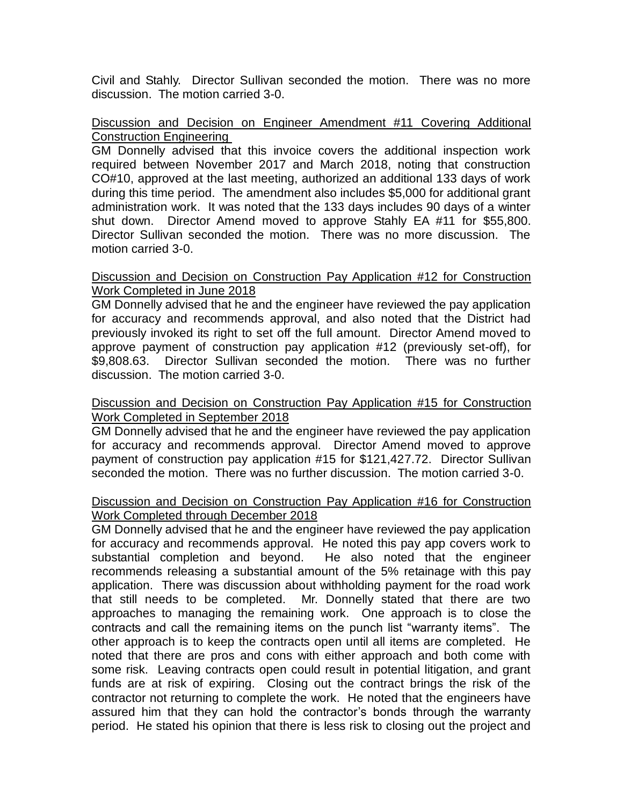Civil and Stahly. Director Sullivan seconded the motion. There was no more discussion. The motion carried 3-0.

#### Discussion and Decision on Engineer Amendment #11 Covering Additional Construction Engineering

GM Donnelly advised that this invoice covers the additional inspection work required between November 2017 and March 2018, noting that construction CO#10, approved at the last meeting, authorized an additional 133 days of work during this time period. The amendment also includes \$5,000 for additional grant administration work. It was noted that the 133 days includes 90 days of a winter shut down. Director Amend moved to approve Stahly EA #11 for \$55,800. Director Sullivan seconded the motion. There was no more discussion. The motion carried 3-0.

#### Discussion and Decision on Construction Pay Application #12 for Construction Work Completed in June 2018

GM Donnelly advised that he and the engineer have reviewed the pay application for accuracy and recommends approval, and also noted that the District had previously invoked its right to set off the full amount. Director Amend moved to approve payment of construction pay application #12 (previously set-off), for \$9,808.63. Director Sullivan seconded the motion. There was no further discussion. The motion carried 3-0.

#### Discussion and Decision on Construction Pay Application #15 for Construction Work Completed in September 2018

GM Donnelly advised that he and the engineer have reviewed the pay application for accuracy and recommends approval. Director Amend moved to approve payment of construction pay application #15 for \$121,427.72. Director Sullivan seconded the motion. There was no further discussion. The motion carried 3-0.

#### Discussion and Decision on Construction Pay Application #16 for Construction Work Completed through December 2018

GM Donnelly advised that he and the engineer have reviewed the pay application for accuracy and recommends approval. He noted this pay app covers work to substantial completion and beyond. He also noted that the engineer recommends releasing a substantial amount of the 5% retainage with this pay application. There was discussion about withholding payment for the road work that still needs to be completed. Mr. Donnelly stated that there are two approaches to managing the remaining work. One approach is to close the contracts and call the remaining items on the punch list "warranty items". The other approach is to keep the contracts open until all items are completed. He noted that there are pros and cons with either approach and both come with some risk. Leaving contracts open could result in potential litigation, and grant funds are at risk of expiring. Closing out the contract brings the risk of the contractor not returning to complete the work. He noted that the engineers have assured him that they can hold the contractor's bonds through the warranty period. He stated his opinion that there is less risk to closing out the project and